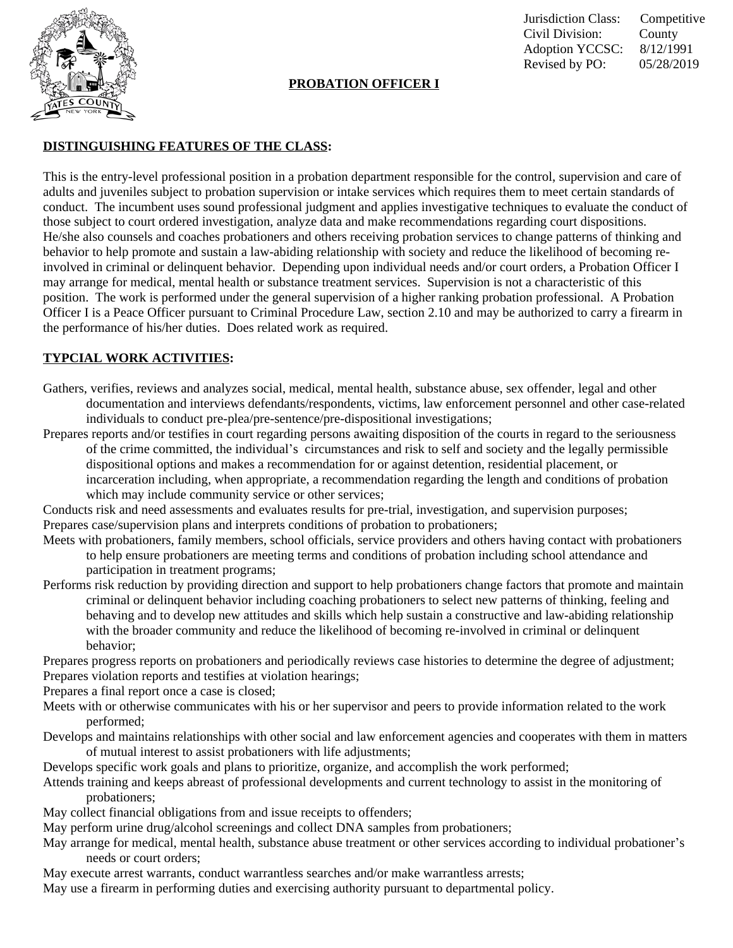

#### **PROBATION OFFICER I**

Jurisdiction Class: Competitive Civil Division: County Adoption YCCSC: 8/12/1991 Revised by PO: 05/28/2019

# **DISTINGUISHING FEATURES OF THE CLASS:**

This is the entry-level professional position in a probation department responsible for the control, supervision and care of adults and juveniles subject to probation supervision or intake services which requires them to meet certain standards of conduct. The incumbent uses sound professional judgment and applies investigative techniques to evaluate the conduct of those subject to court ordered investigation, analyze data and make recommendations regarding court dispositions. He/she also counsels and coaches probationers and others receiving probation services to change patterns of thinking and behavior to help promote and sustain a law-abiding relationship with society and reduce the likelihood of becoming reinvolved in criminal or delinquent behavior. Depending upon individual needs and/or court orders, a Probation Officer I may arrange for medical, mental health or substance treatment services. Supervision is not a characteristic of this position. The work is performed under the general supervision of a higher ranking probation professional. A Probation Officer I is a Peace Officer pursuant to Criminal Procedure Law, section 2.10 and may be authorized to carry a firearm in the performance of his/her duties. Does related work as required.

# **TYPCIAL WORK ACTIVITIES:**

- Gathers, verifies, reviews and analyzes social, medical, mental health, substance abuse, sex offender, legal and other documentation and interviews defendants/respondents, victims, law enforcement personnel and other case-related individuals to conduct pre-plea/pre-sentence/pre-dispositional investigations;
- Prepares reports and/or testifies in court regarding persons awaiting disposition of the courts in regard to the seriousness of the crime committed, the individual's circumstances and risk to self and society and the legally permissible dispositional options and makes a recommendation for or against detention, residential placement, or incarceration including, when appropriate, a recommendation regarding the length and conditions of probation which may include community service or other services;

Conducts risk and need assessments and evaluates results for pre-trial, investigation, and supervision purposes; Prepares case/supervision plans and interprets conditions of probation to probationers;

- Meets with probationers, family members, school officials, service providers and others having contact with probationers to help ensure probationers are meeting terms and conditions of probation including school attendance and participation in treatment programs;
- Performs risk reduction by providing direction and support to help probationers change factors that promote and maintain criminal or delinquent behavior including coaching probationers to select new patterns of thinking, feeling and behaving and to develop new attitudes and skills which help sustain a constructive and law-abiding relationship with the broader community and reduce the likelihood of becoming re-involved in criminal or delinquent behavior;

Prepares progress reports on probationers and periodically reviews case histories to determine the degree of adjustment; Prepares violation reports and testifies at violation hearings;

Prepares a final report once a case is closed;

- Meets with or otherwise communicates with his or her supervisor and peers to provide information related to the work performed;
- Develops and maintains relationships with other social and law enforcement agencies and cooperates with them in matters of mutual interest to assist probationers with life adjustments;

Develops specific work goals and plans to prioritize, organize, and accomplish the work performed;

- Attends training and keeps abreast of professional developments and current technology to assist in the monitoring of probationers;
- May collect financial obligations from and issue receipts to offenders;
- May perform urine drug/alcohol screenings and collect DNA samples from probationers;
- May arrange for medical, mental health, substance abuse treatment or other services according to individual probationer's needs or court orders;
- May execute arrest warrants, conduct warrantless searches and/or make warrantless arrests;

May use a firearm in performing duties and exercising authority pursuant to departmental policy.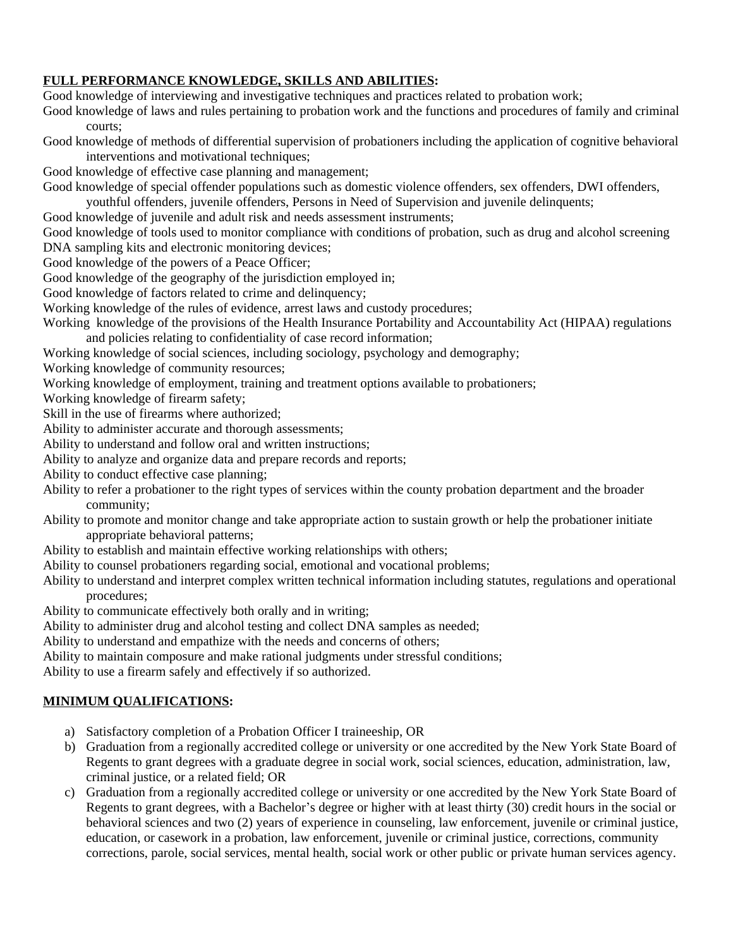#### **FULL PERFORMANCE KNOWLEDGE, SKILLS AND ABILITIES:**

Good knowledge of interviewing and investigative techniques and practices related to probation work;

Good knowledge of laws and rules pertaining to probation work and the functions and procedures of family and criminal courts;

Good knowledge of methods of differential supervision of probationers including the application of cognitive behavioral interventions and motivational techniques;

Good knowledge of effective case planning and management;

Good knowledge of special offender populations such as domestic violence offenders, sex offenders, DWI offenders,

youthful offenders, juvenile offenders, Persons in Need of Supervision and juvenile delinquents;

Good knowledge of juvenile and adult risk and needs assessment instruments;

Good knowledge of tools used to monitor compliance with conditions of probation, such as drug and alcohol screening DNA sampling kits and electronic monitoring devices;

Good knowledge of the powers of a Peace Officer;

Good knowledge of the geography of the jurisdiction employed in;

Good knowledge of factors related to crime and delinquency;

Working knowledge of the rules of evidence, arrest laws and custody procedures;

Working knowledge of the provisions of the Health Insurance Portability and Accountability Act (HIPAA) regulations and policies relating to confidentiality of case record information;

Working knowledge of social sciences, including sociology, psychology and demography;

Working knowledge of community resources;

Working knowledge of employment, training and treatment options available to probationers;

Working knowledge of firearm safety;

Skill in the use of firearms where authorized;

Ability to administer accurate and thorough assessments;

Ability to understand and follow oral and written instructions;

Ability to analyze and organize data and prepare records and reports;

Ability to conduct effective case planning;

Ability to refer a probationer to the right types of services within the county probation department and the broader community;

Ability to promote and monitor change and take appropriate action to sustain growth or help the probationer initiate appropriate behavioral patterns;

Ability to establish and maintain effective working relationships with others;

Ability to counsel probationers regarding social, emotional and vocational problems;

Ability to understand and interpret complex written technical information including statutes, regulations and operational procedures;

Ability to communicate effectively both orally and in writing;

Ability to administer drug and alcohol testing and collect DNA samples as needed;

Ability to understand and empathize with the needs and concerns of others;

Ability to maintain composure and make rational judgments under stressful conditions;

Ability to use a firearm safely and effectively if so authorized.

### **MINIMUM QUALIFICATIONS:**

- a) Satisfactory completion of a Probation Officer I traineeship, OR
- b) Graduation from a regionally accredited college or university or one accredited by the New York State Board of Regents to grant degrees with a graduate degree in social work, social sciences, education, administration, law, criminal justice, or a related field; OR
- c) Graduation from a regionally accredited college or university or one accredited by the New York State Board of Regents to grant degrees, with a Bachelor's degree or higher with at least thirty (30) credit hours in the social or behavioral sciences and two (2) years of experience in counseling, law enforcement, juvenile or criminal justice, education, or casework in a probation, law enforcement, juvenile or criminal justice, corrections, community corrections, parole, social services, mental health, social work or other public or private human services agency.